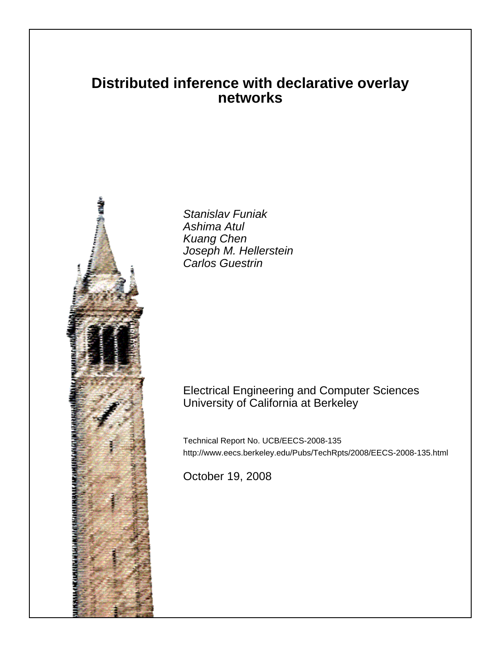# **Distributed inference with declarative overlay networks**



Stanislav Funiak Ashima Atul Kuang Chen Joseph M. Hellerstein Carlos Guestrin

# Electrical Engineering and Computer Sciences University of California at Berkeley

Technical Report No. UCB/EECS-2008-135 http://www.eecs.berkeley.edu/Pubs/TechRpts/2008/EECS-2008-135.html

October 19, 2008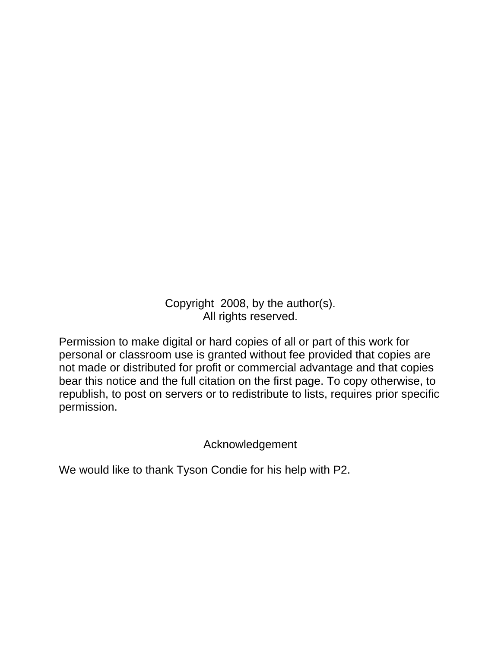Copyright 2008, by the author(s). All rights reserved.

Permission to make digital or hard copies of all or part of this work for personal or classroom use is granted without fee provided that copies are not made or distributed for profit or commercial advantage and that copies bear this notice and the full citation on the first page. To copy otherwise, to republish, to post on servers or to redistribute to lists, requires prior specific permission.

Acknowledgement

We would like to thank Tyson Condie for his help with P2.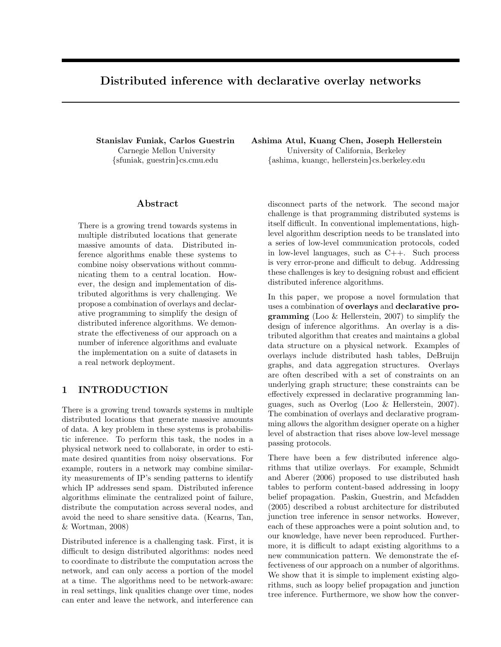## Distributed inference with declarative overlay networks

Stanislav Funiak, Carlos Guestrin Carnegie Mellon University {sfuniak, guestrin}cs.cmu.edu

#### Abstract

There is a growing trend towards systems in multiple distributed locations that generate massive amounts of data. Distributed inference algorithms enable these systems to combine noisy observations without communicating them to a central location. However, the design and implementation of distributed algorithms is very challenging. We propose a combination of overlays and declarative programming to simplify the design of distributed inference algorithms. We demonstrate the effectiveness of our approach on a number of inference algorithms and evaluate the implementation on a suite of datasets in a real network deployment.

## 1 INTRODUCTION

There is a growing trend towards systems in multiple distributed locations that generate massive amounts of data. A key problem in these systems is probabilistic inference. To perform this task, the nodes in a physical network need to collaborate, in order to estimate desired quantities from noisy observations. For example, routers in a network may combine similarity measurements of IP's sending patterns to identify which IP addresses send spam. Distributed inference algorithms eliminate the centralized point of failure, distribute the computation across several nodes, and avoid the need to share sensitive data. (Kearns, Tan, & Wortman, 2008)

Distributed inference is a challenging task. First, it is difficult to design distributed algorithms: nodes need to coordinate to distribute the computation across the network, and can only access a portion of the model at a time. The algorithms need to be network-aware: in real settings, link qualities change over time, nodes can enter and leave the network, and interference can

Ashima Atul, Kuang Chen, Joseph Hellerstein University of California, Berkeley {ashima, kuangc, hellerstein}cs.berkeley.edu

disconnect parts of the network. The second major challenge is that programming distributed systems is itself difficult. In conventional implementations, highlevel algorithm description needs to be translated into a series of low-level communication protocols, coded in low-level languages, such as C++. Such process is very error-prone and difficult to debug. Addressing these challenges is key to designing robust and efficient distributed inference algorithms.

In this paper, we propose a novel formulation that uses a combination of overlays and declarative programming (Loo & Hellerstein, 2007) to simplify the design of inference algorithms. An overlay is a distributed algorithm that creates and maintains a global data structure on a physical network. Examples of overlays include distributed hash tables, DeBruijn graphs, and data aggregation structures. Overlays are often described with a set of constraints on an underlying graph structure; these constraints can be effectively expressed in declarative programming languages, such as Overlog (Loo & Hellerstein, 2007). The combination of overlays and declarative programming allows the algorithm designer operate on a higher level of abstraction that rises above low-level message passing protocols.

There have been a few distributed inference algorithms that utilize overlays. For example, Schmidt and Aberer (2006) proposed to use distributed hash tables to perform content-based addressing in loopy belief propagation. Paskin, Guestrin, and Mcfadden (2005) described a robust architecture for distributed junction tree inference in sensor networks. However, each of these approaches were a point solution and, to our knowledge, have never been reproduced. Furthermore, it is difficult to adapt existing algorithms to a new communication pattern. We demonstrate the effectiveness of our approach on a number of algorithms. We show that it is simple to implement existing algorithms, such as loopy belief propagation and junction tree inference. Furthermore, we show how the conver-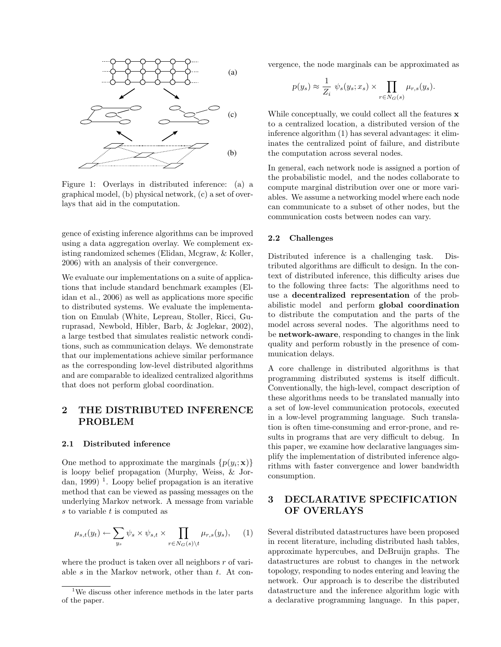

Figure 1: Overlays in distributed inference: (a) a graphical model, (b) physical network, (c) a set of overlays that aid in the computation.

gence of existing inference algorithms can be improved using a data aggregation overlay. We complement existing randomized schemes (Elidan, Mcgraw, & Koller, 2006) with an analysis of their convergence.

We evaluate our implementations on a suite of applications that include standard benchmark examples (Elidan et al., 2006) as well as applications more specific to distributed systems. We evaluate the implementation on Emulab (White, Lepreau, Stoller, Ricci, Guruprasad, Newbold, Hibler, Barb, & Joglekar, 2002), a large testbed that simulates realistic network conditions, such as communication delays. We demonstrate that our implementations achieve similar performance as the corresponding low-level distributed algorithms and are comparable to idealized centralized algorithms that does not perform global coordination.

## 2 THE DISTRIBUTED INFERENCE PROBLEM

#### 2.1 Distributed inference

One method to approximate the marginals  $\{p(y_i; \mathbf{x})\}$ is loopy belief propagation (Murphy, Weiss, & Jordan, 1999)<sup>1</sup>. Loopy belief propagation is an iterative method that can be viewed as passing messages on the underlying Markov network. A message from variable  $s$  to variable  $t$  is computed as

$$
\mu_{s,t}(y_t) \leftarrow \sum_{y_s} \psi_s \times \psi_{s,t} \times \prod_{r \in N_G(s) \setminus t} \mu_{r,s}(y_s), \quad (1)
$$

where the product is taken over all neighbors  $r$  of variable s in the Markov network, other than  $t$ . At convergence, the node marginals can be approximated as

$$
p(y_s) \approx \frac{1}{Z_i} \psi_s(y_s; x_s) \times \prod_{r \in N_G(s)} \mu_{r,s}(y_s).
$$

While conceptually, we could collect all the features **x** to a centralized location, a distributed version of the inference algorithm (1) has several advantages: it eliminates the centralized point of failure, and distribute the computation across several nodes.

In general, each network node is assigned a portion of the probabilistic model, and the nodes collaborate to compute marginal distribution over one or more variables. We assume a networking model where each node can communicate to a subset of other nodes, but the communication costs between nodes can vary.

#### 2.2 Challenges

Distributed inference is a challenging task. Distributed algorithms are difficult to design. In the context of distributed inference, this difficulty arises due to the following three facts: The algorithms need to use a decentralized representation of the probabilistic model and perform global coordination to distribute the computation and the parts of the model across several nodes. The algorithms need to be network-aware, responding to changes in the link quality and perform robustly in the presence of communication delays.

A core challenge in distributed algorithms is that programming distributed systems is itself difficult. Conventionally, the high-level, compact description of these algorithms needs to be translated manually into a set of low-level communication protocols, executed in a low-level programming language. Such translation is often time-consuming and error-prone, and results in programs that are very difficult to debug. In this paper, we examine how declarative languages simplify the implementation of distributed inference algorithms with faster convergence and lower bandwidth consumption.

## 3 DECLARATIVE SPECIFICATION OF OVERLAYS

Several distributed datastructures have been proposed in recent literature, including distributed hash tables, approximate hypercubes, and DeBruijn graphs. The datastructures are robust to changes in the network topology, responding to nodes entering and leaving the network. Our approach is to describe the distributed datastructure and the inference algorithm logic with a declarative programming language. In this paper,

<sup>1</sup>We discuss other inference methods in the later parts of the paper.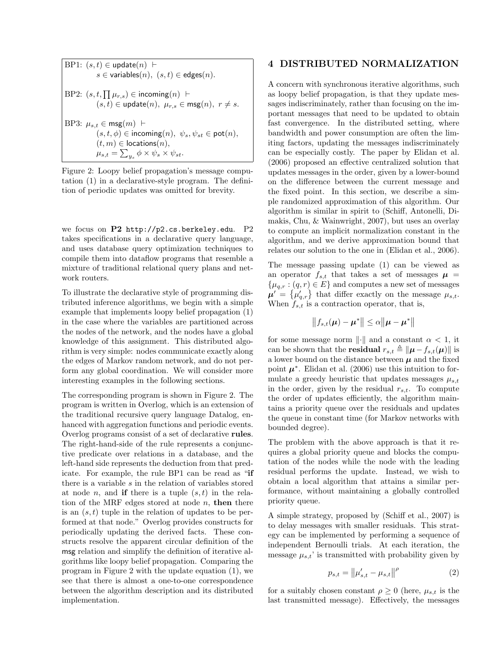BP1:  $(s, t) \in \text{update}(n)$   $\vdash$  $s \in$  variables $(n)$ ,  $(s, t) \in$  edges $(n)$ .  $BP2: (s, t, \prod \mu_{r,s}) \in \mathsf{incoming}(n)$  $(s, t) \in \text{update}(n), \ \mu_{r,s} \in \text{msg}(n), \ r \neq s.$ BP3:  $\mu_{s,t} \in \text{msg}(m)$   $\vdash$  $(s, t, \phi) \in \mathsf{incoming}(n), \ \psi_s, \psi_{st} \in \mathsf{pot}(n),$  $(t, m) \in$  locations $(n)$ ,  $\mu_{s,t} = \sum_{y_s} \phi \times \psi_s \times \psi_{st}.$ 

Figure 2: Loopy belief propagation's message computation (1) in a declarative-style program. The definition of periodic updates was omitted for brevity.

we focus on P2 http://p2.cs.berkeley.edu. P2 takes specifications in a declarative query language, and uses database query optimization techniques to compile them into dataflow programs that resemble a mixture of traditional relational query plans and network routers.

To illustrate the declarative style of programming distributed inference algorithms, we begin with a simple example that implements loopy belief propagation (1) in the case where the variables are partitioned across the nodes of the network, and the nodes have a global knowledge of this assignment. This distributed algorithm is very simple: nodes communicate exactly along the edges of Markov random network, and do not perform any global coordination. We will consider more interesting examples in the following sections.

The corresponding program is shown in Figure 2. The program is written in Overlog, which is an extension of the traditional recursive query language Datalog, enhanced with aggregation functions and periodic events. Overlog programs consist of a set of declarative rules. The right-hand-side of the rule represents a conjunctive predicate over relations in a database, and the left-hand side represents the deduction from that predicate. For example, the rule BP1 can be read as "if there is a variable s in the relation of variables stored at node *n*, and **if** there is a tuple  $(s, t)$  in the relation of the MRF edges stored at node  $n$ , then there is an  $(s, t)$  tuple in the relation of updates to be performed at that node." Overlog provides constructs for periodically updating the derived facts. These constructs resolve the apparent circular definition of the msg relation and simplify the definition of iterative algorithms like loopy belief propagation. Comparing the program in Figure 2 with the update equation (1), we see that there is almost a one-to-one correspondence between the algorithm description and its distributed implementation.

## 4 DISTRIBUTED NORMALIZATION

A concern with synchronous iterative algorithms, such as loopy belief propagation, is that they update messages indiscriminately, rather than focusing on the important messages that need to be updated to obtain fast convergence. In the distributed setting, where bandwidth and power consumption are often the limiting factors, updating the messages indiscriminately can be especially costly. The paper by Elidan et al. (2006) proposed an effective centralized solution that updates messages in the order, given by a lower-bound on the difference between the current message and the fixed point. In this section, we describe a simple randomized approximation of this algorithm. Our algorithm is similar in spirit to (Schiff, Antonelli, Dimakis, Chu, & Wainwright, 2007), but uses an overlay to compute an implicit normalization constant in the algorithm, and we derive approximation bound that relates our solution to the one in (Elidan et al., 2006).

The message passing update (1) can be viewed as an operator  $f_{s,t}$  that takes a set of messages  $\mu$  =  $\{\mu_{q,r} : (q,r) \in E\}$  and computes a new set of messages  $\mu' = {\mu'_{q,r}}$  that differ exactly on the message  $\mu_{s,t}$ . When  $f_{s,t}$  is a contraction operator, that is,

$$
||f_{s,t}(\boldsymbol{\mu}) - \boldsymbol{\mu}^*|| \leq \alpha ||\boldsymbol{\mu} - \boldsymbol{\mu}^*||
$$

for some message norm  $\|\cdot\|$  and a constant  $\alpha < 1$ , it can be shown that the **residual**  $r_{s,t} \triangleq ||\boldsymbol{\mu} - f_{s,t}(\boldsymbol{\mu})||$  is a lower bound on the distance between  $\mu$  and the fixed point  $\mu^*$ . Elidan et al. (2006) use this intuition to formulate a greedy heuristic that updates messages  $\mu_{s,t}$ in the order, given by the residual  $r_{s,t}$ . To compute the order of updates efficiently, the algorithm maintains a priority queue over the residuals and updates the queue in constant time (for Markov networks with bounded degree).

The problem with the above approach is that it requires a global priority queue and blocks the computation of the nodes while the node with the leading residual performs the update. Instead, we wish to obtain a local algorithm that attains a similar performance, without maintaining a globally controlled priority queue.

A simple strategy, proposed by (Schiff et al., 2007) is to delay messages with smaller residuals. This strategy can be implemented by performing a sequence of independent Bernoulli trials. At each iteration, the message  $\mu_{s,t}$ ' is transmitted with probability given by

$$
p_{s,t} = ||\mu'_{s,t} - \mu_{s,t}||^{\rho}
$$
 (2)

for a suitably chosen constant  $\rho \geq 0$  (here,  $\mu_{s,t}$  is the last transmitted message). Effectively, the messages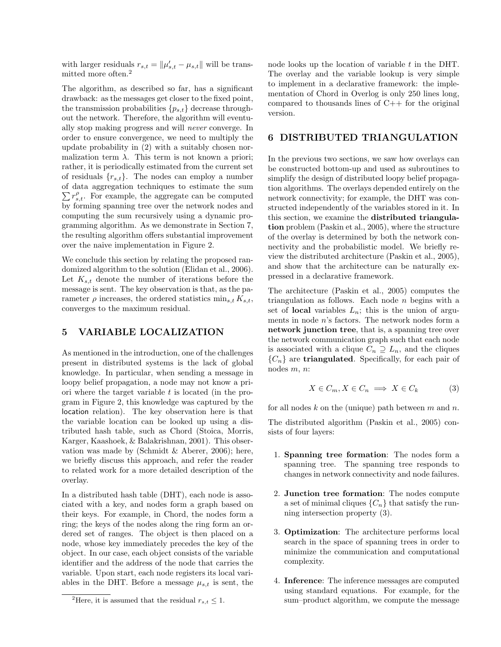with larger residuals  $r_{s,t} = ||\mu'_{s,t} - \mu_{s,t}||$  will be transmitted more often.<sup>2</sup>

The algorithm, as described so far, has a significant drawback: as the messages get closer to the fixed point, the transmission probabilities  $\{p_{s,t}\}\$  decrease throughout the network. Therefore, the algorithm will eventually stop making progress and will never converge. In order to ensure convergence, we need to multiply the update probability in (2) with a suitably chosen normalization term  $\lambda$ . This term is not known a priori; rather, it is periodically estimated from the current set of residuals  $\{r_{s,t}\}.$  The nodes can employ a number of data aggregation techniques to estimate the sum  $\sum r_{s,t}^{\rho}$ . For example, the aggregate can be computed by forming spanning tree over the network nodes and computing the sum recursively using a dynamic programming algorithm. As we demonstrate in Section 7, the resulting algorithm offers substantial improvement over the naive implementation in Figure 2.

We conclude this section by relating the proposed randomized algorithm to the solution (Elidan et al., 2006). Let  $K_{s,t}$  denote the number of iterations before the message is sent. The key observation is that, as the parameter  $\rho$  increases, the ordered statistics  $\min_{s,t} K_{s,t}$ , converges to the maximum residual.

## 5 VARIABLE LOCALIZATION

As mentioned in the introduction, one of the challenges present in distributed systems is the lack of global knowledge. In particular, when sending a message in loopy belief propagation, a node may not know a priori where the target variable  $t$  is located (in the program in Figure 2, this knowledge was captured by the location relation). The key observation here is that the variable location can be looked up using a distributed hash table, such as Chord (Stoica, Morris, Karger, Kaashoek, & Balakrishnan, 2001). This observation was made by (Schmidt & Aberer, 2006); here, we briefly discuss this approach, and refer the reader to related work for a more detailed description of the overlay.

In a distributed hash table (DHT), each node is associated with a key, and nodes form a graph based on their keys. For example, in Chord, the nodes form a ring; the keys of the nodes along the ring form an ordered set of ranges. The object is then placed on a node, whose key immediately precedes the key of the object. In our case, each object consists of the variable identifier and the address of the node that carries the variable. Upon start, each node registers its local variables in the DHT. Before a message  $\mu_{s,t}$  is sent, the node looks up the location of variable t in the DHT. The overlay and the variable lookup is very simple to implement in a declarative framework: the implementation of Chord in Overlog is only 250 lines long, compared to thousands lines of  $C++$  for the original version.

#### 6 DISTRIBUTED TRIANGULATION

In the previous two sections, we saw how overlays can be constructed bottom-up and used as subroutines to simplify the design of distributed loopy belief propagation algorithms. The overlays depended entirely on the network connectivity; for example, the DHT was constructed independently of the variables stored in it. In this section, we examine the distributed triangulation problem (Paskin et al., 2005), where the structure of the overlay is determined by both the network connectivity and the probabilistic model. We briefly review the distributed architecture (Paskin et al., 2005), and show that the architecture can be naturally expressed in a declarative framework.

The architecture (Paskin et al., 2005) computes the triangulation as follows. Each node  $n$  begins with a set of **local** variables  $L_n$ ; this is the union of arguments in node n's factors. The network nodes form a network junction tree, that is, a spanning tree over the network communication graph such that each node is associated with a clique  $C_n \supseteq L_n$ , and the cliques  ${C_n}$  are **triangulated**. Specifically, for each pair of nodes m, n:

$$
X \in C_m, X \in C_n \implies X \in C_k \tag{3}
$$

for all nodes k on the (unique) path between  $m$  and  $n$ .

The distributed algorithm (Paskin et al., 2005) consists of four layers:

- 1. Spanning tree formation: The nodes form a spanning tree. The spanning tree responds to changes in network connectivity and node failures.
- 2. Junction tree formation: The nodes compute a set of minimal cliques  $\{C_n\}$  that satisfy the running intersection property (3).
- 3. Optimization: The architecture performs local search in the space of spanning trees in order to minimize the communication and computational complexity.
- 4. Inference: The inference messages are computed using standard equations. For example, for the sum–product algorithm, we compute the message

<sup>&</sup>lt;sup>2</sup>Here, it is assumed that the residual  $r_{s,t} \leq 1$ .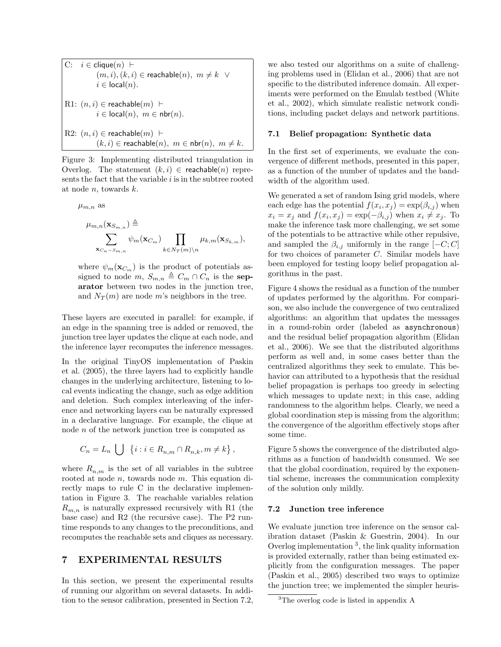$$
\begin{aligned} \text{C:} \quad & i \in \mathsf{clique}(n) \; \vdash \\ & (m, i), (k, i) \in \mathsf{reachable}(n), \; m \neq k \; \lor \\ & i \in \mathsf{local}(n). \end{aligned}
$$
\n
$$
\begin{aligned} \text{R1:} \; (n, i) \in \mathsf{reachable}(m) \; \vdash \\ & i \in \mathsf{local}(n), \; m \in \mathsf{nbr}(n). \end{aligned}
$$
\n
$$
\begin{aligned} \text{R2:} \; (n, i) \in \mathsf{reachable}(m) \; \vdash \\ & (k, i) \in \mathsf{reachable}(n), \; m \in \mathsf{nbr}(n), \; m \neq k. \end{aligned}
$$

Figure 3: Implementing distributed triangulation in Overlog. The statement  $(k, i) \in$  reachable $(n)$  represents the fact that the variable  $i$  is in the subtree rooted at node  $n$ , towards  $k$ .

$$
\mu_{m,n}
$$
 as

$$
\mu_{m,n}(\mathbf{x}_{S_{m,n}}) \triangleq \n\sum_{\mathbf{x}_{C_n-S_{m,n}}} \psi_m(\mathbf{x}_{C_m}) \prod_{k \in N_T(m) \backslash n} \mu_{k,m}(\mathbf{x}_{S_{k,m}}),
$$

where  $\psi_m(\mathbf{x}_{C_m})$  is the product of potentials assigned to node m,  $S_{m,n} \triangleq C_m \cap C_n$  is the separator between two nodes in the junction tree, and  $N_T(m)$  are node m's neighbors in the tree.

These layers are executed in parallel: for example, if an edge in the spanning tree is added or removed, the junction tree layer updates the clique at each node, and the inference layer recomputes the inference messages.

In the original TinyOS implementation of Paskin et al. (2005), the three layers had to explicitly handle changes in the underlying architecture, listening to local events indicating the change, such as edge addition and deletion. Such complex interleaving of the inference and networking layers can be naturally expressed in a declarative language. For example, the clique at node n of the network junction tree is computed as

$$
C_n = L_n \bigcup \{ i : i \in R_{n,m} \cap R_{n,k}, m \neq k \},\
$$

where  $R_{n,m}$  is the set of all variables in the subtree rooted at node  $n$ , towards node  $m$ . This equation directly maps to rule C in the declarative implementation in Figure 3. The reachable variables relation  $R_{m,n}$  is naturally expressed recursively with R1 (the base case) and R2 (the recursive case). The P2 runtime responds to any changes to the preconditions, and recomputes the reachable sets and cliques as necessary.

#### 7 EXPERIMENTAL RESULTS

In this section, we present the experimental results of running our algorithm on several datasets. In addition to the sensor calibration, presented in Section 7.2,

we also tested our algorithms on a suite of challenging problems used in (Elidan et al., 2006) that are not specific to the distributed inference domain. All experiments were performed on the Emulab testbed (White et al., 2002), which simulate realistic network conditions, including packet delays and network partitions.

#### 7.1 Belief propagation: Synthetic data

In the first set of experiments, we evaluate the convergence of different methods, presented in this paper, as a function of the number of updates and the bandwidth of the algorithm used.

We generated a set of random Ising grid models, where each edge has the potential  $f(x_i, x_j) = \exp(\beta_{i,j})$  when  $x_i = x_j$  and  $f(x_i, x_j) = \exp(-\beta_{i,j})$  when  $x_i \neq x_j$ . To make the inference task more challenging, we set some of the potentials to be attractive while other repulsive, and sampled the  $\beta_{i,j}$  uniformly in the range  $[-C, C]$ for two choices of parameter C. Similar models have been employed for testing loopy belief propagation algorithms in the past.

Figure 4 shows the residual as a function of the number of updates performed by the algorithm. For comparison, we also include the convergence of two centralized algorithms: an algorithm that updates the messages in a round-robin order (labeled as asynchronous) and the residual belief propagation algorithm (Elidan et al., 2006). We see that the distributed algorithms perform as well and, in some cases better than the centralized algorithms they seek to emulate. This behavior can attributed to a hypothesis that the residual belief propagation is perhaps too greedy in selecting which messages to update next; in this case, adding randomness to the algorithm helps. Clearly, we need a global coordination step is missing from the algorithm; the convergence of the algorithm effectively stops after some time.

Figure 5 shows the convergence of the distributed algorithms as a function of bandwidth consumed. We see that the global coordination, required by the exponential scheme, increases the communication complexity of the solution only mildly.

#### 7.2 Junction tree inference

We evaluate junction tree inference on the sensor calibration dataset (Paskin & Guestrin, 2004). In our Overlog implementation <sup>3</sup> , the link quality information is provided externally, rather than being estimated explicitly from the configuration messages. The paper (Paskin et al., 2005) described two ways to optimize the junction tree; we implemented the simpler heuris-

<sup>&</sup>lt;sup>3</sup>The overlog code is listed in appendix A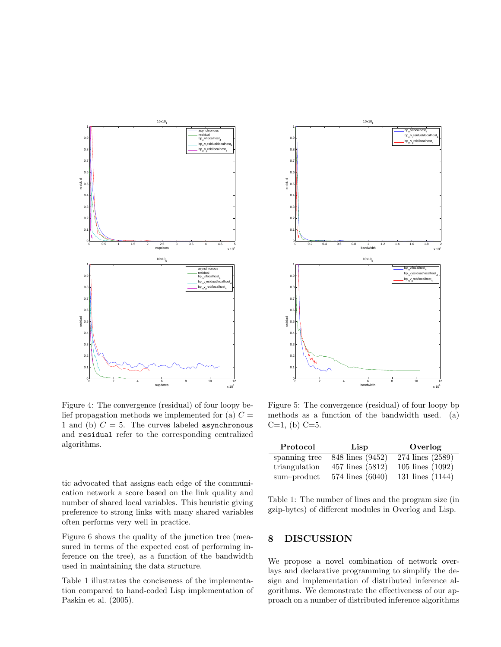

Figure 4: The convergence (residual) of four loopy belief propagation methods we implemented for (a)  $C =$ 1 and (b)  $C = 5$ . The curves labeled asynchronous and residual refer to the corresponding centralized algorithms.

tic advocated that assigns each edge of the communication network a score based on the link quality and number of shared local variables. This heuristic giving preference to strong links with many shared variables often performs very well in practice.

Figure 6 shows the quality of the junction tree (measured in terms of the expected cost of performing inference on the tree), as a function of the bandwidth used in maintaining the data structure.

Table 1 illustrates the conciseness of the implementation compared to hand-coded Lisp implementation of Paskin et al. (2005).



Figure 5: The convergence (residual) of four loopy bp methods as a function of the bandwidth used. (a)  $C=1$ , (b)  $C=5$ .

| Protocol      | Lisp             | Overlog              |
|---------------|------------------|----------------------|
| spanning tree | 848 lines (9452) | 274 lines (2589)     |
| triangulation | 457 lines (5812) | $105$ lines $(1092)$ |
| sum-product   | 574 lines (6040) | 131 lines $(1144)$   |

Table 1: The number of lines and the program size (in gzip-bytes) of different modules in Overlog and Lisp.

## 8 DISCUSSION

We propose a novel combination of network overlays and declarative programming to simplify the design and implementation of distributed inference algorithms. We demonstrate the effectiveness of our approach on a number of distributed inference algorithms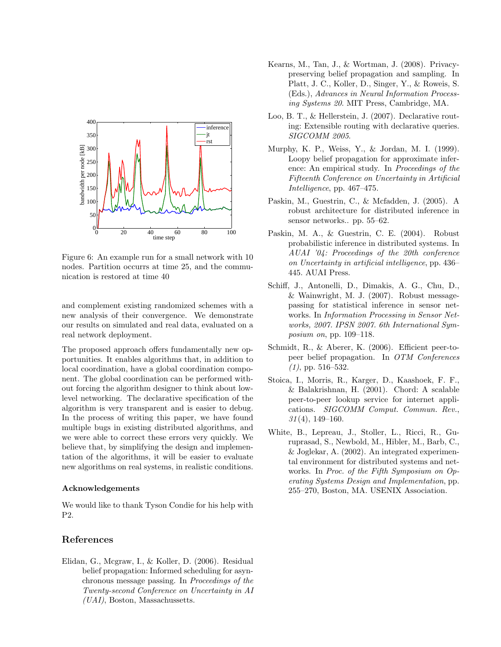

Figure 6: An example run for a small network with 10 nodes. Partition occurrs at time 25, and the communication is restored at time 40

and complement existing randomized schemes with a new analysis of their convergence. We demonstrate our results on simulated and real data, evaluated on a real network deployment.

The proposed approach offers fundamentally new opportunities. It enables algorithms that, in addition to local coordination, have a global coordination component. The global coordination can be performed without forcing the algorithm designer to think about lowlevel networking. The declarative specification of the algorithm is very transparent and is easier to debug. In the process of writing this paper, we have found multiple bugs in existing distributed algorithms, and we were able to correct these errors very quickly. We believe that, by simplifying the design and implementation of the algorithms, it will be easier to evaluate new algorithms on real systems, in realistic conditions.

#### Acknowledgements

We would like to thank Tyson Condie for his help with P2.

### References

Elidan, G., Mcgraw, I., & Koller, D. (2006). Residual belief propagation: Informed scheduling for asynchronous message passing. In Proceedings of the Twenty-second Conference on Uncertainty in AI (UAI), Boston, Massachussetts.

- Kearns, M., Tan, J., & Wortman, J. (2008). Privacypreserving belief propagation and sampling. In Platt, J. C., Koller, D., Singer, Y., & Roweis, S. (Eds.), Advances in Neural Information Processing Systems 20. MIT Press, Cambridge, MA.
- Loo, B. T., & Hellerstein, J. (2007). Declarative routing: Extensible routing with declarative queries. SIGCOMM 2005.
- Murphy, K. P., Weiss, Y., & Jordan, M. I. (1999). Loopy belief propagation for approximate inference: An empirical study. In Proceedings of the Fifteenth Conference on Uncertainty in Artificial Intelligence, pp. 467–475.
- Paskin, M., Guestrin, C., & Mcfadden, J. (2005). A robust architecture for distributed inference in sensor networks.. pp. 55–62.
- Paskin, M. A., & Guestrin, C. E. (2004). Robust probabilistic inference in distributed systems. In AUAI '04: Proceedings of the 20th conference on Uncertainty in artificial intelligence, pp. 436– 445. AUAI Press.
- Schiff, J., Antonelli, D., Dimakis, A. G., Chu, D., & Wainwright, M. J. (2007). Robust messagepassing for statistical inference in sensor networks. In Information Processing in Sensor Networks, 2007. IPSN 2007. 6th International Symposium on, pp. 109–118.
- Schmidt, R., & Aberer, K. (2006). Efficient peer-topeer belief propagation. In OTM Conferences  $(1)$ , pp. 516–532.
- Stoica, I., Morris, R., Karger, D., Kaashoek, F. F., & Balakrishnan, H. (2001). Chord: A scalable peer-to-peer lookup service for internet applications. SIGCOMM Comput. Commun. Rev., 31 (4), 149–160.
- White, B., Lepreau, J., Stoller, L., Ricci, R., Guruprasad, S., Newbold, M., Hibler, M., Barb, C., & Joglekar, A. (2002). An integrated experimental environment for distributed systems and networks. In Proc. of the Fifth Symposium on Operating Systems Design and Implementation, pp. 255–270, Boston, MA. USENIX Association.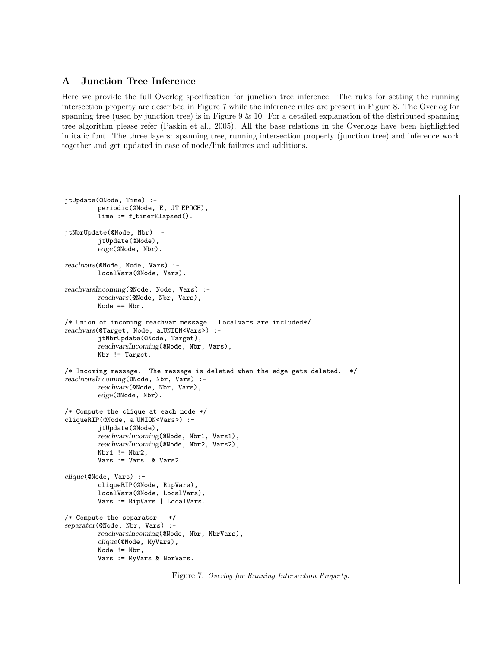## A Junction Tree Inference

Here we provide the full Overlog specification for junction tree inference. The rules for setting the running intersection property are described in Figure 7 while the inference rules are present in Figure 8. The Overlog for spanning tree (used by junction tree) is in Figure  $9 \& 10$ . For a detailed explanation of the distributed spanning tree algorithm please refer (Paskin et al., 2005). All the base relations in the Overlogs have been highlighted in italic font. The three layers: spanning tree, running intersection property (junction tree) and inference work together and get updated in case of node/link failures and additions.

```
jtUpdate(@Node, Time) :-
         . periodic(@Node, E, JT EPOCH),
         Time := f_timerElapsed().
jtNbrUpdate(@Node, Nbr) :-
         . jtUpdate(@Node),
         . edge(@Node, Nbr).
reachvars(@Node, Node, Vars) :-
         . localVars(@Node, Vars).
reachvarsIncoming(@Node, Node, Vars) :-
         . reachvars(@Node, Nbr, Vars),
         . Node == Nbr.
/* Union of incoming reachvar message. Localvars are included*/
reachvars(@Target, Node, a_UNION<Vars>) :-
         . jtNbrUpdate(@Node, Target),
         . reachvarsIncoming(@Node, Nbr, Vars),
         . Nbr != Target.
/* Incoming message. The message is deleted when the edge gets deleted. */
reachvarsIncoming(@Node, Nbr, Vars) :-
         . reachvars(@Node, Nbr, Vars),
         . edge(@Node, Nbr).
/* Compute the clique at each node */
cliqueRIP(@Node, a_UNION<Vars>) :-
         . jtUpdate(@Node),
         . reachvarsIncoming(@Node, Nbr1, Vars1),
         . reachvarsIncoming(@Node, Nbr2, Vars2),
         Nbr1 != Nbr2,
         Vars := Vars1 & Wars2.clique(@Node, Vars) :-
         . cliqueRIP(@Node, RipVars),
         . localVars(@Node, LocalVars),
         Vars := RipVars | LocalVars.
/* Compute the separator. */
separator(@Node, Nbr, Vars) :-
         . reachvarsIncoming(@Node, Nbr, NbrVars),
         . clique(@Node, MyVars),
         Node != Nbr,
         Vars := MyVars & NbrVars.
```
Figure 7: Overlog for Running Intersection Property.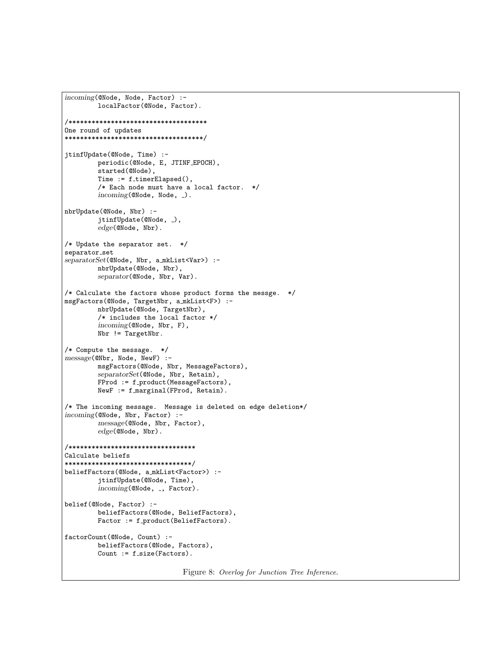```
incoming(@Node, Node, Factor) :-
         . localFactor(@Node, Factor).
/************************************
One round of updates
************************************/
jtinfUpdate(@Node, Time) :-
        . periodic(@Node, E, JTINF EPOCH),
         . started(@Node),
         Time := f_ttimerElapsed(),
         /* Each node must have a local factor. */incoming(@Node, Node, _).
nbrUpdate(@Node, Nbr) :-
         jtinfUpdate(@Node, _),
         . edge(@Node, Nbr).
/* Update the separator set. */
separator_set
separatorSet(@Node, Nbr, a_mkList<Var>) :-
        . nbrUpdate(@Node, Nbr),
         . separator(@Node, Nbr, Var).
/* Calculate the factors whose product forms the messge. */
msgFactors(@Node, TargetNbr, a mkList<F>) :-
        . nbrUpdate(@Node, TargetNbr),
         /* includes the local factor */. incoming(@Node, Nbr, F),
         . Nbr != TargetNbr.
/* Compute the message. */
message(@Nbr, Node, NewF) :-
         . msgFactors(@Node, Nbr, MessageFactors),
         . separatorSet(@Node, Nbr, Retain),
         FProd := f_product(MessageFactors),
         NewF := f_marginal(FProd, Retain).
/* The incoming message. Message is deleted on edge deletion*/
incoming(@Node, Nbr, Factor) :-
        . message(@Node, Nbr, Factor),
         . edge(@Node, Nbr).
/*********************************
Calculate beliefs
*********************************/
beliefFactors(@Node, a mkList<Factor>) :-
         . jtinfUpdate(@Node, Time),
         incoming(@Node, _, Factor).
belief(@Node, Factor) :-
         . beliefFactors(@Node, BeliefFactors),
         Factor := f-product(BeliefFactors).
factorCount(@Node, Count) :-
        . beliefFactors(@Node, Factors),
         Count := f_size(Factors).
```
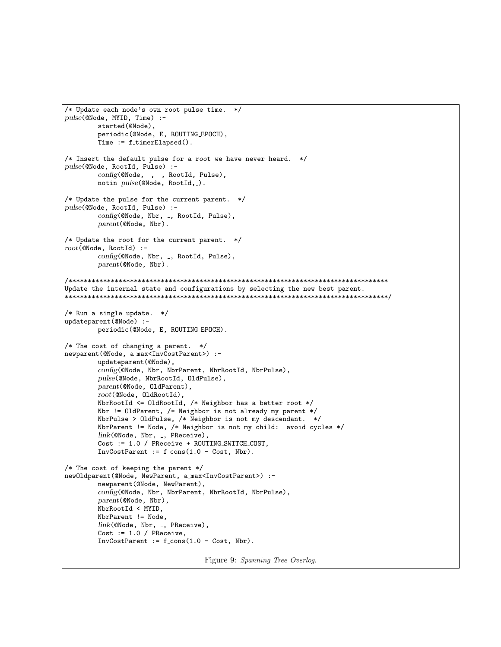```
/* Update each node's own root pulse time. */
pulse(@Node, MYID, Time) :-
. started(@Node),
. periodic(@Node, E, ROUTING EPOCH),
         Time := f_ttimerElapsed().
/* Insert the default pulse for a root we have never heard. */
pulse(@Node, RootId, Pulse) :-
         config(@Node, _, _, RootId, Pulse),
         notin pulse(@Node, RootId,_).
/* Update the pulse for the current parent. */
pulse(@Node, RootId, Pulse) :-
         config(@Node, Nbr, _, RootId, Pulse),
         . parent(@Node, Nbr).
/* Update the root for the current parent. */
root(@Node, RootId) :-
         config(@Node, Nbr, _, RootId, Pulse),
         . parent(@Node, Nbr).
/***********************************************************************************
Update the internal state and configurations by selecting the new best parent.
************************************************************************************/
/* Run a single update. */
updateparent(@Node) :-
         . periodic(@Node, E, ROUTING EPOCH).
/* The cost of changing a parent. */
newparent(@Node, a max<InvCostParent>) :-
         . updateparent(@Node),
         . config(@Node, Nbr, NbrParent, NbrRootId, NbrPulse),
         . pulse(@Node, NbrRootId, OldPulse),
         . parent(@Node, OldParent),
         . root(@Node, OldRootId),
         . NbrRootId <= OldRootId, /* Neighbor has a better root */
         . Nbr != OldParent, /* Neighbor is not already my parent */
         . NbrPulse > OldPulse, /* Neighbor is not my descendant. */
         . NbrParent != Node, /* Neighbor is not my child: avoid cycles */
         link(@Node, Nbr, _, PReceive),
         . Cost := 1.0 / PReceive + ROUTING SWITCH COST,
         InvCostParent := f_{cons}(1.0 - Cost, Nbr).
/* The cost of keeping the parent */
newOldparent(@Node, NewParent, a max<InvCostParent>) :-
         . newparent(@Node, NewParent),
         . config(@Node, Nbr, NbrParent, NbrRootId, NbrPulse),
         parent(@Node, Nbr),
         . NbrRootId < MYID,
         . NbrParent != Node,
         link(@Node, Nbr, _, PReceive),
         Cost := 1.0 / PReceive,
         InvCostParent := f_{cons}(1.0 - Cost, Nbr).
```
Figure 9: Spanning Tree Overlog.